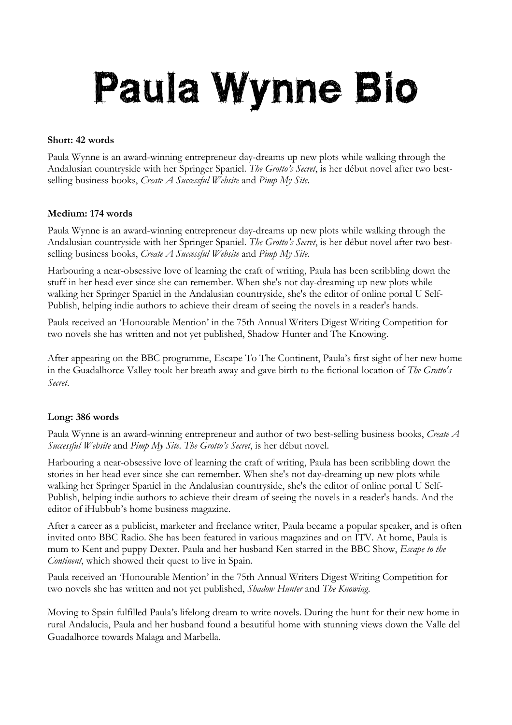## Paula Wynne Bio

## **Short: 42 words**

Paula Wynne is an award-winning entrepreneur day-dreams up new plots while walking through the Andalusian countryside with her Springer Spaniel. *The Grotto's Secret*, is her début novel after two bestselling business books, *Create A Successful Website* and *Pimp My Site*.

## **Medium: 174 words**

Paula Wynne is an award-winning entrepreneur day-dreams up new plots while walking through the Andalusian countryside with her Springer Spaniel. *The Grotto's Secret*, is her début novel after two bestselling business books, *Create A Successful Website* and *Pimp My Site*.

Harbouring a near-obsessive love of learning the craft of writing, Paula has been scribbling down the stuff in her head ever since she can remember. When she's not day-dreaming up new plots while walking her Springer Spaniel in the Andalusian countryside, she's the editor of online portal U Self-Publish, helping indie authors to achieve their dream of seeing the novels in a reader's hands.

Paula received an 'Honourable Mention' in the 75th Annual Writers Digest Writing Competition for two novels she has written and not yet published, Shadow Hunter and The Knowing.

After appearing on the BBC programme, Escape To The Continent, Paula's first sight of her new home in the Guadalhorce Valley took her breath away and gave birth to the fictional location of *The Grotto's Secret*.

## **Long: 386 words**

Paula Wynne is an award-winning entrepreneur and author of two best-selling business books, *Create A Successful Website* and *Pimp My Site*. *The Grotto's Secret*, is her début novel.

Harbouring a near-obsessive love of learning the craft of writing, Paula has been scribbling down the stories in her head ever since she can remember. When she's not day-dreaming up new plots while walking her Springer Spaniel in the Andalusian countryside, she's the editor of online portal U Self-Publish, helping indie authors to achieve their dream of seeing the novels in a reader's hands. And the editor of iHubbub's home business magazine.

After a career as a publicist, marketer and freelance writer, Paula became a popular speaker, and is often invited onto BBC Radio. She has been featured in various magazines and on ITV. At home, Paula is mum to Kent and puppy Dexter. Paula and her husband Ken starred in the BBC Show, *Escape to the Continent*, which showed their quest to live in Spain.

Paula received an 'Honourable Mention' in the 75th Annual Writers Digest Writing Competition for two novels she has written and not yet published, *Shadow Hunter* and *The Knowing*.

Moving to Spain fulfilled Paula's lifelong dream to write novels. During the hunt for their new home in rural Andalucia, Paula and her husband found a beautiful home with stunning views down the Valle del Guadalhorce towards Malaga and Marbella.